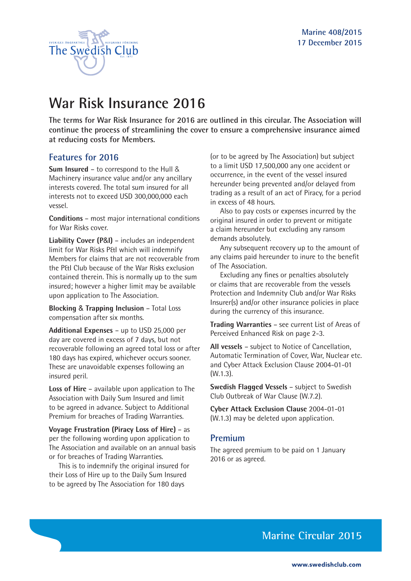

# **War Risk Insurance 2016**

**The terms for War Risk Insurance for 2016 are outlined in this circular. The Association will continue the process of streamlining the cover to ensure a comprehensive insurance aimed at reducing costs for Members.**

### **Features for 2016**

**Sum Insured** – to correspond to the Hull & Machinery insurance value and/or any ancillary interests covered. The total sum insured for all interests not to exceed USD 300,000,000 each vessel.

**Conditions** – most major international conditions for War Risks cover.

**Liability Cover (P**&**I)** – includes an independent limit for War Risks P&I which will indemnify Members for claims that are not recoverable from the P&I Club because of the War Risks exclusion contained therein. This is normally up to the sum insured; however a higher limit may be available upon application to The Association.

**Blocking** & **Trapping Inclusion** – Total Loss compensation after six months.

**Additional Expenses** – up to USD 25,000 per day are covered in excess of 7 days, but not recoverable following an agreed total loss or after 180 days has expired, whichever occurs sooner. These are unavoidable expenses following an insured peril.

**Loss of Hire** – available upon application to The Association with Daily Sum Insured and limit to be agreed in advance. Subject to Additional Premium for breaches of Trading Warranties.

**Voyage Frustration (Piracy Loss of Hire)** – as per the following wording upon application to The Association and available on an annual basis or for breaches of Trading Warranties.

This is to indemnify the original insured for their Loss of Hire up to the Daily Sum Insured to be agreed by The Association for 180 days

(or to be agreed by The Association) but subject to a limit USD 17,500,000 any one accident or occurrence, in the event of the vessel insured hereunder being prevented and/or delayed from trading as a result of an act of Piracy, for a period in excess of 48 hours.

Also to pay costs or expenses incurred by the original insured in order to prevent or mitigate a claim hereunder but excluding any ransom demands absolutely.

Any subsequent recovery up to the amount of any claims paid hereunder to inure to the benefit of The Association.

Excluding any fines or penalties absolutely or claims that are recoverable from the vessels Protection and Indemnity Club and/or War Risks Insurer(s) and/or other insurance policies in place during the currency of this insurance.

**Trading Warranties** – see current List of Areas of Perceived Enhanced Risk on page 2-3.

**All vessels** – subject to Notice of Cancellation, Automatic Termination of Cover, War, Nuclear etc. and Cyber Attack Exclusion Clause 2004-01-01 (W.1.3).

**Swedish Flagged Vessels** – subject to Swedish Club Outbreak of War Clause (W.7.2).

**Cyber Attack Exclusion Clause** 2004-01-01 (W.1.3) may be deleted upon application.

#### **Premium**

The agreed premium to be paid on 1 January 2016 or as agreed.

**Marine Circular 2015**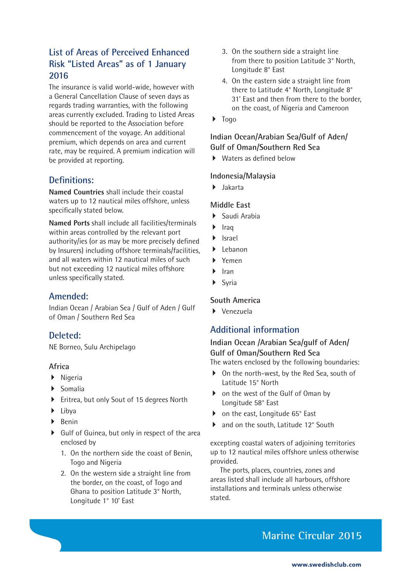## **List of Areas of Perceived Enhanced Risk "Listed Areas" as of 1 January 2016**

The insurance is valid world-wide, however with a General Cancellation Clause of seven days as regards trading warranties, with the following areas currently excluded. Trading to Listed Areas should be reported to the Association before commencement of the voyage. An additional premium, which depends on area and current rate, may be required. A premium indication will be provided at reporting.

### **Definitions:**

**Named Countries** shall include their coastal waters up to 12 nautical miles offshore, unless specifically stated below.

**Named Ports** shall include all facilities/terminals within areas controlled by the relevant port authority/ies (or as may be more precisely defined by Insurers) including offshore terminals/facilities, and all waters within 12 nautical miles of such but not exceeding 12 nautical miles offshore unless specifically stated.

## **Amended:**

Indian Ocean / Arabian Sea / Gulf of Aden / Gulf of Oman / Southern Red Sea

### **Deleted:**

NE Borneo, Sulu Archipelago

#### **Africa**

- $\blacktriangleright$  Nigeria
- $\blacktriangleright$  Somalia
- ▶ Eritrea, but only Sout of 15 degrees North
- $\blacktriangleright$  Libya
- $\blacktriangleright$  Benin
- $\triangleright$  Gulf of Guinea, but only in respect of the area enclosed by
	- 1. On the northern side the coast of Benin, Togo and Nigeria
	- 2. On the western side a straight line from the border, on the coast, of Togo and Ghana to position Latitude 3° North, Longitude 1° 10' East
- 3. On the southern side a straight line from there to position Latitude 3° North, Longitude 8° East
- 4. On the eastern side a straight line from there to Latitude 4° North, Longitude 8° 31' East and then from there to the border, on the coast, of Nigeria and Cameroon
- $\blacktriangleright$  Togo

#### **Indian Ocean/Arabian Sea/Gulf of Aden/ Gulf of Oman/Southern Red Sea**

 $\blacktriangleright$  Waters as defined below

#### **Indonesia/Malaysia**

 $\blacktriangleright$  Jakarta

#### **Middle East**

- $\blacktriangleright$  Saudi Arabia
- $\blacktriangleright$  Iraq
- $\blacktriangleright$  Israel
- $\blacktriangleright$  Lebanon
- ` Yemen
- ` Iran
- **Syria**

### **South America**

 $\blacktriangleright$  Venezuela

## **Additional information**

## **Indian Ocean /Arabian Sea/gulf of Aden/ Gulf of Oman/Southern Red Sea**

The waters enclosed by the following boundaries:

- ▶ On the north-west, by the Red Sea, south of Latitude 15° North
- on the west of the Gulf of Oman by Longitude 58° East
- ▶ on the east, Longitude 65° East
- ▶ and on the south, Latitude 12° South

excepting coastal waters of adjoining territories up to 12 nautical miles offshore unless otherwise provided.

The ports, places, countries, zones and areas listed shall include all harbours, offshore installations and terminals unless otherwise stated.

## **Marine Circular 2015**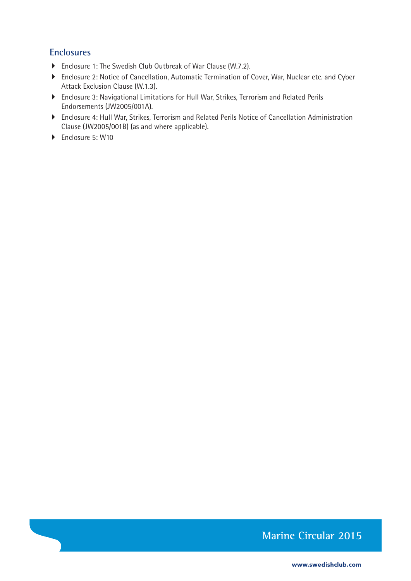### **Enclosures**

- ▶ Enclosure 1: The Swedish Club Outbreak of War Clause (W.7.2).
- **Enclosure 2: Notice of Cancellation, Automatic Termination of Cover, War, Nuclear etc. and Cyber** Attack Exclusion Clause (W.1.3).
- ` Enclosure 3: Navigational Limitations for Hull War, Strikes, Terrorism and Related Perils Endorsements (JW2005/001A).
- ` Enclosure 4: Hull War, Strikes, Terrorism and Related Perils Notice of Cancellation Administration Clause (JW2005/001B) (as and where applicable).
- ▶ Enclosure 5: W10

## **Marine Circular 2015**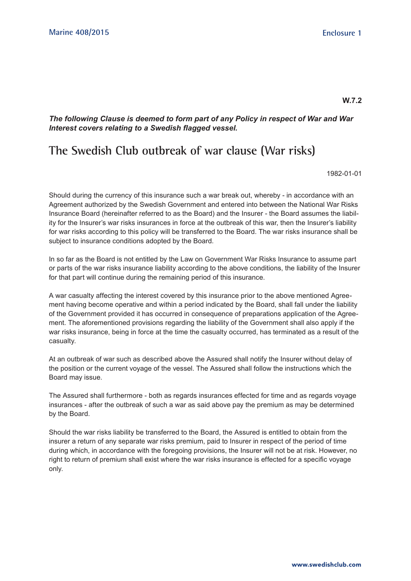#### **W.7.2**

*The following Clause is deemed to form part of any Policy in respect of War and War Interest covers relating to a Swedish flagged vessel.*

## **The Swedish Club outbreak of war clause (War risks)**

1982-01-01

Should during the currency of this insurance such a war break out, whereby - in accordance with an Agreement authorized by the Swedish Government and entered into between the National War Risks Insurance Board (hereinafter referred to as the Board) and the Insurer - the Board assumes the liability for the Insurer's war risks insurances in force at the outbreak of this war, then the Insurer's liability for war risks according to this policy will be transferred to the Board. The war risks insurance shall be subject to insurance conditions adopted by the Board.

In so far as the Board is not entitled by the Law on Government War Risks Insurance to assume part or parts of the war risks insurance liability according to the above conditions, the liability of the Insurer for that part will continue during the remaining period of this insurance.

A war casualty affecting the interest covered by this insurance prior to the above mentioned Agreement having become operative and within a period indicated by the Board, shall fall under the liability of the Government provided it has occurred in consequence of preparations application of the Agreement. The aforementioned provisions regarding the liability of the Government shall also apply if the war risks insurance, being in force at the time the casualty occurred, has terminated as a result of the casualty.

At an outbreak of war such as described above the Assured shall notify the Insurer without delay of the position or the current voyage of the vessel. The Assured shall follow the instructions which the Board may issue.

The Assured shall furthermore - both as regards insurances effected for time and as regards voyage insurances - after the outbreak of such a war as said above pay the premium as may be determined by the Board.

Should the war risks liability be transferred to the Board, the Assured is entitled to obtain from the insurer a return of any separate war risks premium, paid to Insurer in respect of the period of time during which, in accordance with the foregoing provisions, the Insurer will not be at risk. However, no right to return of premium shall exist where the war risks insurance is effected for a specific voyage only.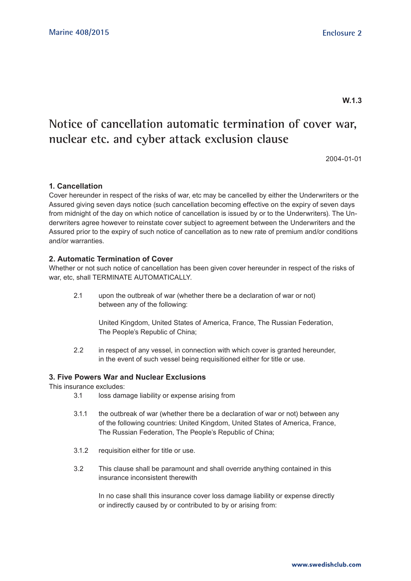**W.1.3**

## **Notice of cancellation automatic termination of cover war, nuclear etc. and cyber attack exclusion clause**

2004-01-01

#### **1. Cancellation**

Cover hereunder in respect of the risks of war, etc may be cancelled by either the Underwriters or the Assured giving seven days notice (such cancellation becoming effective on the expiry of seven days from midnight of the day on which notice of cancellation is issued by or to the Underwriters). The Underwriters agree however to reinstate cover subject to agreement between the Underwriters and the Assured prior to the expiry of such notice of cancellation as to new rate of premium and/or conditions and/or warranties.

#### **2. Automatic Termination of Cover**

Whether or not such notice of cancellation has been given cover hereunder in respect of the risks of war, etc, shall TERMINATE AUTOMATICALLY.

2.1 upon the outbreak of war (whether there be a declaration of war or not) between any of the following:

> United Kingdom, United States of America, France, The Russian Federation, The People's Republic of China;

2.2 in respect of any vessel, in connection with which cover is granted hereunder, in the event of such vessel being requisitioned either for title or use.

#### **3. Five Powers War and Nuclear Exclusions**

This insurance excludes:

- 3.1 loss damage liability or expense arising from
- 3.1.1 the outbreak of war (whether there be a declaration of war or not) between any of the following countries: United Kingdom, United States of America, France, The Russian Federation, The People's Republic of China;
- 3.1.2 requisition either for title or use.
- 3.2 This clause shall be paramount and shall override anything contained in this insurance inconsistent therewith

 In no case shall this insurance cover loss damage liability or expense directly or indirectly caused by or contributed to by or arising from: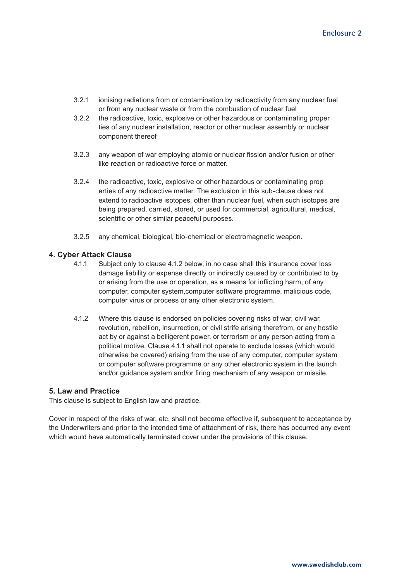- 3.2.1 ionising radiations from or contamination by radioactivity from any nuclear fuel or from any nuclear waste or from the combustion of nuclear fuel
- 3.2.2 the radioactive, toxic, explosive or other hazardous or contaminating proper ties of any nuclear installation, reactor or other nuclear assembly or nuclear component thereof
- 3.2.3 any weapon of war employing atomic or nuclear fission and/or fusion or other like reaction or radioactive force or matter.
- 3.2.4 the radioactive, toxic, explosive or other hazardous or contaminating prop erties of any radioactive matter. The exclusion in this sub-clause does not extend to radioactive isotopes, other than nuclear fuel, when such isotopes are being prepared, carried, stored, or used for commercial, agricultural, medical, scientific or other similar peaceful purposes.
- 3.2.5 any chemical, biological, bio-chemical or electromagnetic weapon.

#### **4. Cyber Attack Clause**

- 4.1.1 Subject only to clause 4.1.2 below, in no case shall this insurance cover loss damage liability or expense directly or indirectly caused by or contributed to by or arising from the use or operation, as a means for inflicting harm, of any computer, computer system,computer software programme, malicious code, computer virus or process or any other electronic system.
- 4.1.2 Where this clause is endorsed on policies covering risks of war, civil war, revolution, rebellion, insurrection, or civil strife arising therefrom, or any hostile act by or against a belligerent power, or terrorism or any person acting from a political motive, Clause 4.1.1 shall not operate to exclude losses (which would otherwise be covered) arising from the use of any computer, computer system or computer software programme or any other electronic system in the launch and/or guidance system and/or firing mechanism of any weapon or missile.

#### **5. Law and Practice**

This clause is subject to English law and practice.

Cover in respect of the risks of war, etc. shall not become effective if, subsequent to acceptance by the Underwriters and prior to the intended time of attachment of risk, there has occurred any event which would have automatically terminated cover under the provisions of this clause.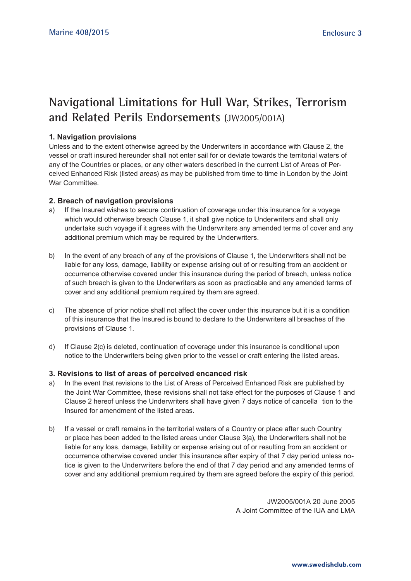## **Navigational Limitations for Hull War, Strikes, Terrorism and Related Perils Endorsements** (JW2005/001A)

#### **1. Navigation provisions**

Unless and to the extent otherwise agreed by the Underwriters in accordance with Clause 2, the vessel or craft insured hereunder shall not enter sail for or deviate towards the territorial waters of any of the Countries or places, or any other waters described in the current List of Areas of Perceived Enhanced Risk (listed areas) as may be published from time to time in London by the Joint War Committee

#### **2. Breach of navigation provisions**

- a) If the Insured wishes to secure continuation of coverage under this insurance for a voyage which would otherwise breach Clause 1, it shall give notice to Underwriters and shall only undertake such voyage if it agrees with the Underwriters any amended terms of cover and any additional premium which may be required by the Underwriters.
- b) In the event of any breach of any of the provisions of Clause 1, the Underwriters shall not be liable for any loss, damage, liability or expense arising out of or resulting from an accident or occurrence otherwise covered under this insurance during the period of breach, unless notice of such breach is given to the Underwriters as soon as practicable and any amended terms of cover and any additional premium required by them are agreed.
- c) The absence of prior notice shall not affect the cover under this insurance but it is a condition of this insurance that the Insured is bound to declare to the Underwriters all breaches of the provisions of Clause 1.
- d) If Clause 2(c) is deleted, continuation of coverage under this insurance is conditional upon notice to the Underwriters being given prior to the vessel or craft entering the listed areas.

#### **3. Revisions to list of areas of perceived encanced risk**

- a) In the event that revisions to the List of Areas of Perceived Enhanced Risk are published by the Joint War Committee, these revisions shall not take effect for the purposes of Clause 1 and Clause 2 hereof unless the Underwriters shall have given 7 days notice of cancella tion to the Insured for amendment of the listed areas.
- b) If a vessel or craft remains in the territorial waters of a Country or place after such Country or place has been added to the listed areas under Clause 3(a), the Underwriters shall not be liable for any loss, damage, liability or expense arising out of or resulting from an accident or occurrence otherwise covered under this insurance after expiry of that 7 day period unless notice is given to the Underwriters before the end of that 7 day period and any amended terms of cover and any additional premium required by them are agreed before the expiry of this period.

JW2005/001A 20 June 2005 A Joint Committee of the IUA and LMA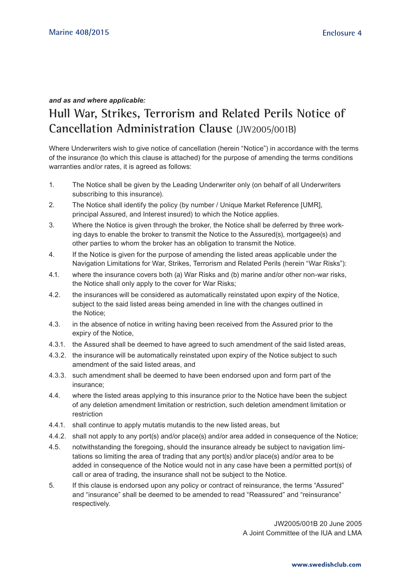#### *and as and where applicable:*

## **Hull War, Strikes, Terrorism and Related Perils Notice of Cancellation Administration Clause** (JW2005/001B)

Where Underwriters wish to give notice of cancellation (herein "Notice") in accordance with the terms of the insurance (to which this clause is attached) for the purpose of amending the terms conditions warranties and/or rates, it is agreed as follows:

- 1. The Notice shall be given by the Leading Underwriter only (on behalf of all Underwriters subscribing to this insurance).
- 2. The Notice shall identify the policy (by number / Unique Market Reference [UMR], principal Assured, and Interest insured) to which the Notice applies.
- 3. Where the Notice is given through the broker, the Notice shall be deferred by three working days to enable the broker to transmit the Notice to the Assured(s), mortgagee(s) and other parties to whom the broker has an obligation to transmit the Notice.
- 4. If the Notice is given for the purpose of amending the listed areas applicable under the Navigation Limitations for War, Strikes, Terrorism and Related Perils (herein "War Risks"):
- 4.1. where the insurance covers both (a) War Risks and (b) marine and/or other non-war risks, the Notice shall only apply to the cover for War Risks;
- 4.2. the insurances will be considered as automatically reinstated upon expiry of the Notice, subject to the said listed areas being amended in line with the changes outlined in the Notice;
- 4.3. in the absence of notice in writing having been received from the Assured prior to the expiry of the Notice,
- 4.3.1. the Assured shall be deemed to have agreed to such amendment of the said listed areas,
- 4.3.2. the insurance will be automatically reinstated upon expiry of the Notice subject to such amendment of the said listed areas, and
- 4.3.3. such amendment shall be deemed to have been endorsed upon and form part of the insurance;
- 4.4. where the listed areas applying to this insurance prior to the Notice have been the subject of any deletion amendment limitation or restriction, such deletion amendment limitation or restriction
- 4.4.1. shall continue to apply mutatis mutandis to the new listed areas, but
- 4.4.2. shall not apply to any port(s) and/or place(s) and/or area added in consequence of the Notice;
- 4.5. notwithstanding the foregoing, should the insurance already be subject to navigation limitations so limiting the area of trading that any port(s) and/or place(s) and/or area to be added in consequence of the Notice would not in any case have been a permitted port(s) of call or area of trading, the insurance shall not be subject to the Notice.
- 5. If this clause is endorsed upon any policy or contract of reinsurance, the terms "Assured" and "insurance" shall be deemed to be amended to read "Reassured" and "reinsurance" respectively.

JW2005/001B 20 June 2005 A Joint Committee of the IUA and LMA